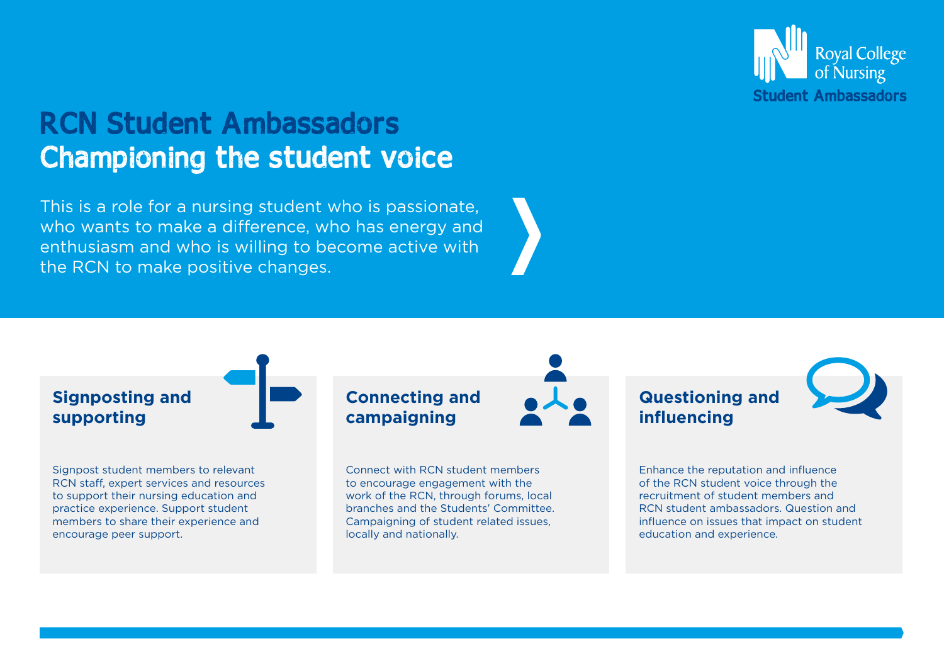

## RCN Student Ambassadors Championing the student voice

This is a role for a nursing student who is passionate, who wants to make a difference, who has energy and enthusiasm and who is willing to become active with the RCN to make positive changes.

## **Signposting and supporting Connecting and campaigning**

Signpost student members to relevant RCN staff, expert services and resources to support their nursing education and practice experience. Support student members to share their experience and encourage peer support.

Connect with RCN student members to encourage engagement with the work of the RCN, through forums, local branches and the Students' Committee. Campaigning of student related issues, locally and nationally.

## **Questioning and influencing**

Enhance the reputation and influence of the RCN student voice through the recruitment of student members and RCN student ambassadors. Question and influence on issues that impact on student education and experience.